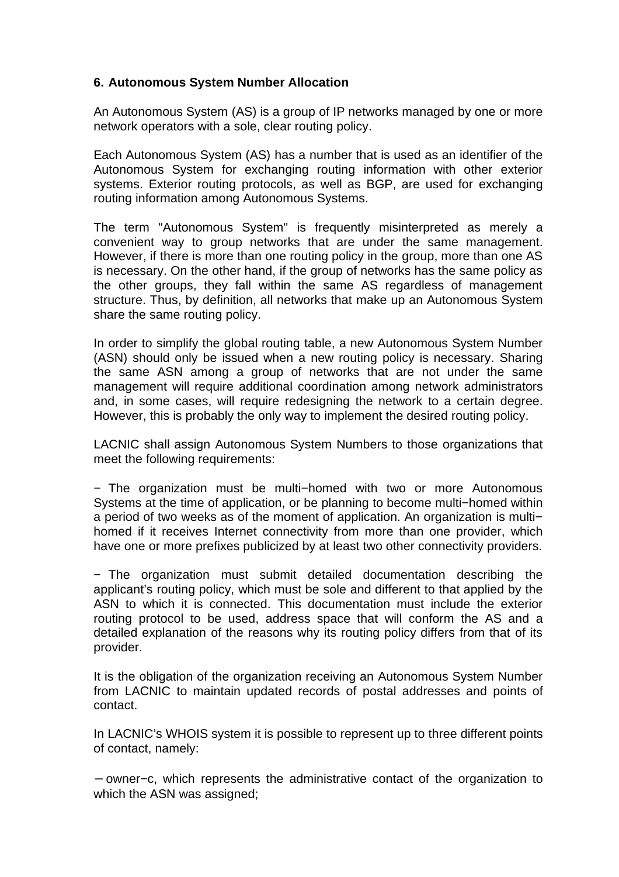## **6. Autonomous System Number Allocation**

An Autonomous System (AS) is a group of IP networks managed by one or more network operators with a sole, clear routing policy.

Each Autonomous System (AS) has a number that is used as an identifier of the Autonomous System for exchanging routing information with other exterior systems. Exterior routing protocols, as well as BGP, are used for exchanging routing information among Autonomous Systems.

The term "Autonomous System" is frequently misinterpreted as merely a convenient way to group networks that are under the same management. However, if there is more than one routing policy in the group, more than one AS is necessary. On the other hand, if the group of networks has the same policy as the other groups, they fall within the same AS regardless of management structure. Thus, by definition, all networks that make up an Autonomous System share the same routing policy.

In order to simplify the global routing table, a new Autonomous System Number (ASN) should only be issued when a new routing policy is necessary. Sharing the same ASN among a group of networks that are not under the same management will require additional coordination among network administrators and, in some cases, will require redesigning the network to a certain degree. However, this is probably the only way to implement the desired routing policy.

LACNIC shall assign Autonomous System Numbers to those organizations that meet the following requirements:

− The organization must be multi−homed with two or more Autonomous Systems at the time of application, or be planning to become multi−homed within a period of two weeks as of the moment of application. An organization is multi− homed if it receives Internet connectivity from more than one provider, which have one or more prefixes publicized by at least two other connectivity providers.

− The organization must submit detailed documentation describing the applicant's routing policy, which must be sole and different to that applied by the ASN to which it is connected. This documentation must include the exterior routing protocol to be used, address space that will conform the AS and a detailed explanation of the reasons why its routing policy differs from that of its provider.

It is the obligation of the organization receiving an Autonomous System Number from LACNIC to maintain updated records of postal addresses and points of contact.

In LACNIC's WHOIS system it is possible to represent up to three different points of contact, namely:

− owner−c, which represents the administrative contact of the organization to which the ASN was assigned: